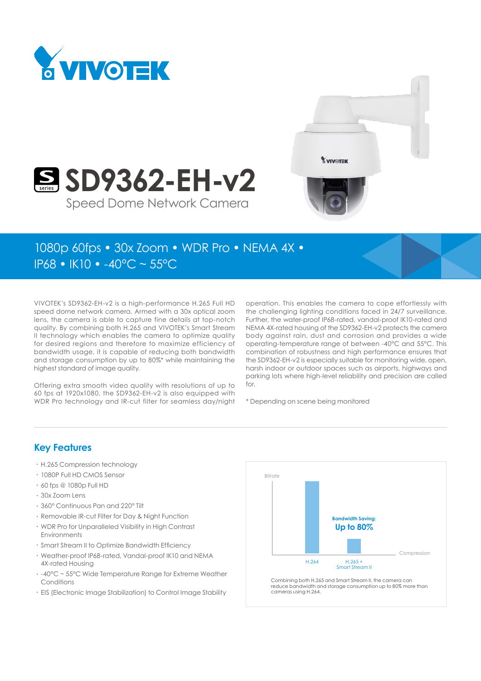



# 1080p 60fps • 30x Zoom • WDR Pro • NEMA 4X •

Speed Dome Network Camera

**SD9362-EH-v2** 

IP68 • IK10 • -40°C ~ 55°C

VIVOTEK's SD9362-EH-v2 is a high-performance H.265 Full HD speed dome network camera. Armed with a 30x optical zoom lens, the camera is able to capture fine details at top-notch quality. By combining both H.265 and VIVOTEK's Smart Stream II technology which enables the camera to optimize quality for desired regions and therefore to maximize efficiency of bandwidth usage, it is capable of reducing both bandwidth and storage consumption by up to 80%\* while maintaining the highest standard of image quality.

Offering extra smooth video quality with resolutions of up to 60 fps at 1920x1080, the SD9362-EH-v2 is also equipped with WDR Pro technology and IR-cut filter for seamless day/night operation. This enables the camera to cope effortlessly with the challenging lighting conditions faced in 24/7 surveillance. Further, the water-proof IP68-rated, vandal-proof IK10-rated and NEMA 4X-rated housing of the SD9362-EH-v2 protects the camera body against rain, dust and corrosion and provides a wide operating-temperature range of between -40°C and 55°C. This combination of robustness and high performance ensures that the SD9362-EH-v2 is especially suitable for monitoring wide, open, harsh indoor or outdoor spaces such as airports, highways and parking lots where high-level reliability and precision are called for.

\* Depending on scene being monitored

#### **Key Features**

- • H.265 Compression technology
- • 1080P Full HD CMOS Sensor
- • 60 fps @ 1080p Full HD
- • 30x Zoom Lens
- • 360° Continuous Pan and 220° Tilt
- Removable IR-cut Filter for Day & Night Function
- • WDR Pro for Unparalleled Visibility in High Contrast Environments
- • Smart Stream II to Optimize Bandwidth Efficiency
- • Weather-proof IP68-rated, Vandal-proof IK10 and NEMA 4X-rated Housing
- -40°C ~ 55°C Wide Temperature Range for Extreme Weather Conditions
- • EIS (Electronic Image Stabilization) to Control Image Stability



Combining both H.265 and Smart Stream II, the camera can reduce bandwidth and storage consumption up to 80% more than cameras using H.264.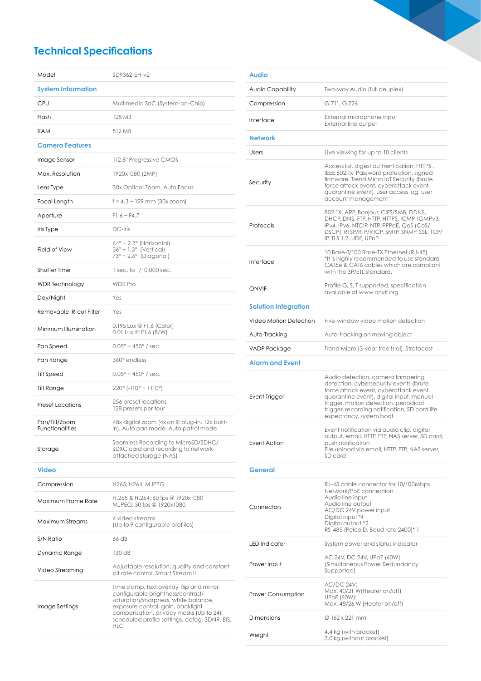# **Technical Specifications**

| Model                                   | SD9362-EH-v2                                                                                                                                                                                                                                                           |  |  |
|-----------------------------------------|------------------------------------------------------------------------------------------------------------------------------------------------------------------------------------------------------------------------------------------------------------------------|--|--|
| <b>System Information</b>               |                                                                                                                                                                                                                                                                        |  |  |
| CPU                                     | Multimedia SoC (System-on-Chip)                                                                                                                                                                                                                                        |  |  |
| Flash                                   | 128 MB                                                                                                                                                                                                                                                                 |  |  |
| <b>RAM</b>                              | 512 MB                                                                                                                                                                                                                                                                 |  |  |
| <b>Camera Features</b>                  |                                                                                                                                                                                                                                                                        |  |  |
| Image Sensor                            | 1/2.8" Progressive CMOS                                                                                                                                                                                                                                                |  |  |
| Max. Resolution                         | 1920x1080 (2MP)                                                                                                                                                                                                                                                        |  |  |
| Lens Type                               | 30x Optical Zoom, Auto Focus                                                                                                                                                                                                                                           |  |  |
| Focal Length                            | $f = 4.3 \sim 129$ mm (30x zoom)                                                                                                                                                                                                                                       |  |  |
| Aperture                                | $F1.6 \sim F4.7$                                                                                                                                                                                                                                                       |  |  |
| Iris Type                               | DC-iris                                                                                                                                                                                                                                                                |  |  |
| <b>Field of View</b>                    | 64° ~ 2.3° (Horizontal)<br>36° ~ 1.3° (Vertical)<br>73° ~ 2.6° (Diagonal)                                                                                                                                                                                              |  |  |
| <b>Shutter Time</b>                     | 1 sec. to 1/10,000 sec.                                                                                                                                                                                                                                                |  |  |
| WDR Technology                          | <b>WDR Pro</b>                                                                                                                                                                                                                                                         |  |  |
| Day/Night                               | Yes                                                                                                                                                                                                                                                                    |  |  |
| Removable IR-cut Filter                 | Yes                                                                                                                                                                                                                                                                    |  |  |
| Minimum Illumination                    | 0.195 Lux @ F1.6 (Color)<br>0.01 Lux @ F1.6 (B/W)                                                                                                                                                                                                                      |  |  |
| Pan Speed                               | $0.05^{\circ} \sim 450^{\circ}$ / sec.                                                                                                                                                                                                                                 |  |  |
| Pan Range                               | 360° endless                                                                                                                                                                                                                                                           |  |  |
| Tilt Speed                              | $0.05^{\circ} \sim 450^{\circ}$ / sec.                                                                                                                                                                                                                                 |  |  |
| Tilt Range                              | $220^{\circ}$ (-110° ~ +110°)                                                                                                                                                                                                                                          |  |  |
| <b>Preset Locations</b>                 | 256 preset locations<br>128 presets per tour                                                                                                                                                                                                                           |  |  |
| Pan/Tilt/Zoom<br><b>Functionalities</b> | 48x digital zoom (4x on IE plug-in, 12x built-<br>in), Auto pan mode, Auto patrol mode                                                                                                                                                                                 |  |  |
| Storage                                 | Seamless Recording to MicroSD/SDHC/<br>SDXC card and recording to network-<br>attached storage (NAS)                                                                                                                                                                   |  |  |
| Video                                   |                                                                                                                                                                                                                                                                        |  |  |
| Compression                             | H265, H264, MJPEG                                                                                                                                                                                                                                                      |  |  |
| Maximum Frame Rate                      | H.265 & H.264: 60 fps @ 1920x1080<br>MJPEG: 30 fps @ 1920x1080                                                                                                                                                                                                         |  |  |
| Maximum Streams                         | 4 video streams<br>(Up to 9 configurable profiles)                                                                                                                                                                                                                     |  |  |
| S/N Ratio                               | 66 dB                                                                                                                                                                                                                                                                  |  |  |
| Dynamic Range                           | 130dB                                                                                                                                                                                                                                                                  |  |  |
| Video Streaming                         | Adjustable resolution, quality and constant<br>bit rate control, Smart Stream II                                                                                                                                                                                       |  |  |
| Image Settings                          | Time stamp, text overlay, flip and mirror,<br>configurable brightness/contrast/<br>saturation/sharpness, white balance,<br>exposure control, gain, backlight<br>compensation, privacy masks (Up to 24),<br>scheduled profile settings, defog, 3DNR, EIS,<br><b>HLC</b> |  |  |

| <b>Audio</b>                |                                                                                                                                                                                                                                                                                        |  |  |
|-----------------------------|----------------------------------------------------------------------------------------------------------------------------------------------------------------------------------------------------------------------------------------------------------------------------------------|--|--|
| Audio Capability            | Two-way Audio (full deuplex)                                                                                                                                                                                                                                                           |  |  |
| Compression                 | G.711, G.726                                                                                                                                                                                                                                                                           |  |  |
| Interface                   | External microphone input<br>External line output                                                                                                                                                                                                                                      |  |  |
| <b>Network</b>              |                                                                                                                                                                                                                                                                                        |  |  |
| Users                       | Live viewing for up to 10 clients                                                                                                                                                                                                                                                      |  |  |
| Security                    | Access list, digest authentication, HTTPS,<br>IEEE 802.1x, Password protection, signed<br>firmware, Trend Micro IoT Security (brute<br>force attack event, cyberattack event,<br>quarantine event), user access log, user<br>account management                                        |  |  |
| Protocols                   | 802.1X, ARP, Bonjour, CIFS/SMB, DDNS,<br>DHCP, DNS, FTP, HTTP, HTTPS, ICMP, IGMPv3,<br>IPv4, IPv6, NTCIP, NTP, PPPoE, QoS (CoS/<br>DSCPI, RTSP/RTP/RTCP, SMTP, SNMP, SSL, TCP/<br>IP, TLS 1.2, UDP, UPnP                                                                               |  |  |
| Interface                   | 10 Base-T/100 Base-TX Ethernet (RJ-45)<br>*It is highly recommended to use standard<br>CAT5e & CAT6 cables which are compliant<br>with the 3P/ETL standard.                                                                                                                            |  |  |
| ONVIF                       | Profile G, S, T supported, specification<br>available at www.onvif.ora                                                                                                                                                                                                                 |  |  |
| <b>Solution Integration</b> |                                                                                                                                                                                                                                                                                        |  |  |
| Video Motion Detection      | Five-window video motion detection                                                                                                                                                                                                                                                     |  |  |
| Auto-Tracking               | Auto-tracking on moving object                                                                                                                                                                                                                                                         |  |  |
| VADP Package                | Trend Micro (3-year free trial), Stratocast                                                                                                                                                                                                                                            |  |  |
| <b>Alarm and Event</b>      |                                                                                                                                                                                                                                                                                        |  |  |
| Event Trigger               | Audio detection, camera tampering<br>detection, cybersecurity events (brute<br>force attack event, cyberattack event,<br>quarantine event), digital input, manual<br>trigger, motion detection, periodical<br>trigger, recording notification, SD card life<br>expectancy, system boot |  |  |
| Event Action                | Event notification via audio clip, digital<br>output, email, HTTP, FTP, NAS server, SD card,<br>push notification<br>File upload via email, HTTP, FTP, NAS server,<br>SD card                                                                                                          |  |  |
| General                     |                                                                                                                                                                                                                                                                                        |  |  |
| Connectors                  | RJ-45 cable connector for 10/100Mbps<br>Network/PoE connection<br>Audio line input<br>Audio line output<br>AC/DC 24V power input<br>Digital input *4<br>Digital output *2<br>RS-485 (Pelco D, Baud rate 2400)* 1                                                                       |  |  |
| <b>LED</b> Indicator        | System power and status indicator                                                                                                                                                                                                                                                      |  |  |
| Power Input                 | AC 24V, DC 24V, UPoE (60W)<br>(Simultaneous Power Redundancy<br>Supported)                                                                                                                                                                                                             |  |  |
| Power Consumption           | <b>AC/DC 24V:</b><br>Max. 40/21 W(Heater on/off)<br><b>UPOE (60W):</b><br>Max. 48/26 W (Heater on/off)                                                                                                                                                                                 |  |  |
| <b>Dimensions</b>           | Ø 162 x 221 mm                                                                                                                                                                                                                                                                         |  |  |
| Weight                      | 4.4 kg (with bracket)<br>3.0 kg (without bracket)                                                                                                                                                                                                                                      |  |  |